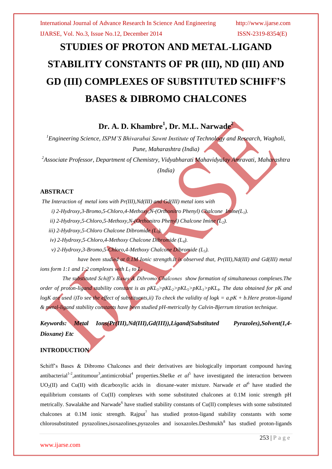# **STUDIES OF PROTON AND METAL-LIGAND STABILITY CONSTANTS OF PR (III), ND (III) AND GD (III) COMPLEXES OF SUBSTITUTED SCHIFF'S BASES & DIBROMO CHALCONES**

## **Dr. A. D. Khambre<sup>1</sup> , Dr. M.L. Narwade<sup>2</sup>**

*<sup>1</sup>Engineering Science, ISPM'S Bhivarabai Sawnt Institute of Technology and Research, Wagholi, Pune, Maharashtra (India)*

*<sup>2</sup>Associate Professor, Department of Chemistry, Vidyabharati Mahavidyalay Amravati, Maharashtra*

*(India)*

#### **ABSTRACT**

*The Interaction of metal ions with Pr(III),Nd(III) and Gd(III) metal ions with*

 *i) 2-Hydroxy,3-Bromo,5-Chloro,4-Methoxy,N-(Orthonitro Phenyl) Chalcone Imine(L1).*

 *ii) 2-Hydroxy,5-Chloro,5-Methoxy,N-(Orthonitro Phenyl) Chalcone Imine (L2).*

 *iii) 2-Hydroxy,5-Chloro Chalcone Dibromide (L3).* 

 *iv) 2-Hydroxy,5-Chloro,4-Methoxy Chalcone Dibromide (L4).*

 *v) 2-Hydroxy,3-Bromo,5-Chloro,4-Methoxy Chalcone Dibromide (L5).*

 *have been studied at 0.1M Ionic strength.It is observed that, Pr(III),Nd(III) and Gd(III) metal ions form 1:1 and 1:2 complexes with L<sub>1</sub> to L<sub>5</sub>.* 

 *The substituted Schiff's Bases & Dibromo Chalcones show formation of simultaneous complexes.The order of proton-ligand stability constant is as pKL3>pKL2>pKL5>pKL1>pKL4. The data obtained for pK and logK are used i)To see the effect of substituents,ii) To check the validity of logk = a.pK + b.Here proton-ligand & metal-ligand stability constants have been studied pH-metrically by Calvin-Bjerrum titration technique.*

*Keywords: Metal Ions(Pr(III),Nd(III),Gd(III)),Ligand(Substituted Pyrazoles),Solvent(1,4- Dioxane) Etc*

#### **INTRODUCTION**

Schiff's Bases & Dibromo Chalcones and their derivatives are biologically important compound having antibacterial<sup>1-2</sup>, antitumour<sup>3</sup>, antimicrobial<sup>4</sup> properties. Shelke *et al*<sup>5</sup> have investigated the interaction between UO<sub>2</sub>(II) and Cu(II) with dicarboxylic acids in dioxane-water mixture. Narwade *et al*<sup>6</sup> have studied the equilibrium constants of Cu(II) complexes with some substituted chalcones at 0.1M ionic strength pH metrically. Sawalakhe and Narwade<sup>6</sup> have studied stability constants of Cu(II) complexes with some substituted chalcones at  $0.1M$  ionic strength. Rajput<sup>7</sup> has studied proton-ligand stability constants with some  $chlorosubstituted$  pyrazolines, isoxazolines, pyrazoles and isoxazoles. Deshmukh $\delta$  has studied proton-ligands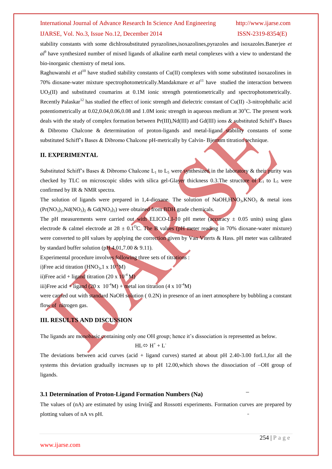## International Journal of Advance Research In Science And Engineering http://www.ijarse.com IJARSE, Vol. No.3, Issue No.12, December 2014 ISSN-2319-8354(E)

stability constants with some dichlrosubstituted pyrazolines,isoxazolines,pyrazoles and isoxazoles.Banerjee *et al*9 have synthesized number of mixed ligands of alkaline earth metal complexes with a view to understand the bio-inorganic chemistry of metal ions.

Raghuwanshi *et al*<sup>10</sup> have studied stability constants of Cu(II) complexes with some substituted isoxazolines in 70% dioxane-water mixture spectrophotometrically.Mandakmare *et al*<sup>11</sup> have studied the interaction between  $UO<sub>2</sub>(II)$  and substituted coumarins at 0.1M ionic strength potentiometrically and spectrophotometrically. Recently Palaskar<sup>12</sup> has studied the effect of ionic strength and dielectric constant of Cu(II) -3-nitrophthalic acid potentiometrically at  $0.02,0.04,0.06,0.08$  and  $1.0M$  ionic strength in aqueous medium at  $30^{\circ}$ C. The present work deals with the study of complex formation between Pr(III),Nd(III) and Gd(III) ions & substituted Schiff's Bases & Dibromo Chalcone & determination of proton-ligands and metal-ligand stability constants of some substituted Schiff's Bases & Dibromo Chalcone pH-metrically by Calvin-Bjerrum titration technique.

#### **II. EXPERIMENTAL**

Substituted Schiff's Bases & Dibromo Chalcone  $L_1$  to  $L_5$  were synthesized in the laboratory & their purity was checked by TLC on microscopic slides with silica gel-Glayer thickness 0.3. The structure of  $L_1$  to  $L_5$  were confirmed by IR & NMR spectra.

The solution of ligands were prepared in 1,4-dioxane. The solution of NaOH, $HNO<sub>3</sub>, KNO<sub>3</sub>$  & metal ions  $(Pr(NO<sub>3</sub>)<sub>2</sub>, Nd(NO<sub>3</sub>)<sub>2</sub> \& Gd(NO<sub>3</sub>)<sub>2</sub>)$  were obtained from BDH grade chemicals.

The pH measurements were carried out with ELICO-LI-10 pH meter (accuracy  $\pm$  0.05 units) using glass electrode & calmel electrode at  $28 \pm 0.1^{\circ}$ C. The B values (pH meter reading in 70% dioxane-water mixture) were converted to pH values by applying the correction given by Van Viterts & Hass. pH meter was calibrated by standard buffer solution (pH  $4.01,7.00 \& 9.11$ ).

Experimental procedure involves following three sets of titrations :

i)Free acid titration (HNO<sub>3</sub>, 1 x  $10^{-2}$ M)

ii)Free acid + ligand titration (20 x  $10^{-4}$  M)

iii)Free acid + ligand (20 x  $10^{-4}M$ ) + metal ion titration (4 x  $10^{-4}M$ )

were carried out with standard NaOH solution (0.2N) in presence of an inert atmosphere by bubbling a constant flow of nitrogen gas.

#### **III. RESULTS AND DISCUSSION**

The ligands are monobasic containing only one OH group; hence it's dissociation is represented as below.

 $HL \Leftrightarrow H^+ + L^-$ 

The deviations between acid curves (acid + ligand curves) started at about pH 2.40-3.00 forL1,for all the systems this deviation gradually increases up to pH 12.00,which shows the dissociation of –OH group of ligands.

#### **3.1 Determination of Proton-Ligand Formation Numbers (Na)**

The values of (nA) are estimated by using Irving and Rossotti experiments. Formation curves are prepared by plotting values of nA vs pH.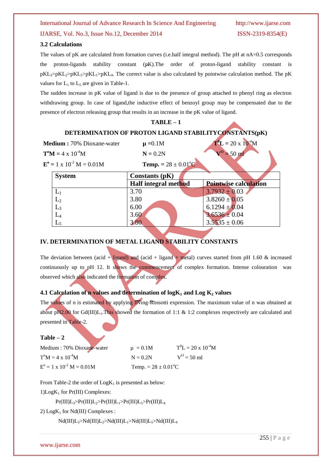## International Journal of Advance Research In Science And Engineering http://www.ijarse.com IJARSE, Vol. No.3, Issue No.12, December 2014 ISSN-2319-8354(E)

#### **3.2 Calculations**

The values of pK are calculated from fornation curves (i.e.half integral method). The pH at nA=0.5 corresponds the proton-ligands stability constant (pK).The order of proton-ligand stability constant is  $pKL_2\geq pKL_1\geq pKL_1\geq pKL_4$ . The correct value is also calculated by pointwise calculation method. The pK values for  $L_1$  to  $L_5$  are given in Table-1.

The sudden increase in pK value of ligand is due to the presence of group attached to phenyl ring as electron withdrawing group. In case of ligand,the inductive effect of benzoyl group may be compensated due to the presence of electron releasing group that results in an increase in the pK value of ligand.

|                                                       | $TABLE-1$                             |                               |  |  |  |  |
|-------------------------------------------------------|---------------------------------------|-------------------------------|--|--|--|--|
| DETERMINATION OF PROTON LIGAND STABILITYCONSTANTS(pK) |                                       |                               |  |  |  |  |
| Medium: 70% Dioxane-water                             | $\mu = 0.1M$                          | $T^{0}L = 20 \times 10^{-4}M$ |  |  |  |  |
| $T^{\circ}M = 4 \times 10^{-4}M$                      | $V^0 = 50$ ml<br>$N = 0.2N$           |                               |  |  |  |  |
| $E^{\text{o}} = 1 \times 10^{-2} M = 0.01 M$          | <b>Temp.</b> = $28 \pm 0.01^{\circ}C$ |                               |  |  |  |  |
| <b>System</b>                                         | Constants $(pK)$                      |                               |  |  |  |  |
|                                                       | Half integral method                  | <b>Pointwise calculation</b>  |  |  |  |  |
|                                                       |                                       |                               |  |  |  |  |
| $L_1$                                                 | 3.70                                  | $3.7932 \pm 0.03$             |  |  |  |  |
| $L_2$                                                 | 3.80                                  | $3.8260 \pm 0.05$             |  |  |  |  |
| $L_3$                                                 | 6.00                                  | $6.1294 \pm 0.04$             |  |  |  |  |
| $\rm L_4$                                             | 3.60                                  | $3.6536 \pm 0.04$             |  |  |  |  |
|                                                       | 3.80                                  | $3.5535 \pm 0.06$             |  |  |  |  |

### **IV. DETERMINATION OF METAL LIGAND STABILITY CONSTANTS**

The deviation between (acid + ligand) and (acid + ligand + metal) curves started from pH 1.60 & increased continuously up to pH 12. It shows the commencement of complex formation. Intense colouration was observed which also indicated the formation of complex.

#### **4.1 Calculation of n values and determination of logK<sup>1</sup> and Log K<sup>2</sup> values**

The values of n is estimated by applying Irving-Rossotti expression. The maximum value of n was obtained at about pH2.00 for Gd(III)L<sub>1</sub>.This showed the formation of 1:1 & 1:2 complexes respectively are calculated and presented in Table-2.

#### **Table – 2**

| Medium: 70% Dioxane-water                 | $\mu = 0.1M$                   | $T^0L = 20 \times 10^{-4}M$ |
|-------------------------------------------|--------------------------------|-----------------------------|
| $T^{\circ}M = 4 \times 10^{-4}M$          | $N = 0.2N$                     | $V^{O} = 50$ ml             |
| $E^{\circ} = 1 \times 10^{-2} M = 0.01 M$ | Temp. = $28 \pm 0.01^{\circ}C$ |                             |

From Table-2 the order of  $Log K<sub>1</sub>$  is presented as below:

1) $Log K_1$  for Pr(III) Complexes:

 $Pr(III)L_3>Pr(III)L_2>Pr(III)L_1>Pr(III)L_5>Pr(III)L_4$ 

2)  $Log K_1$  for Nd(III) Complexes :

 $Nd(III)L<sub>3</sub>>Nd(III)L<sub>2</sub>>Nd(III)L<sub>1</sub>>Nd(III)L<sub>5</sub>>Nd(III)L<sub>4</sub>$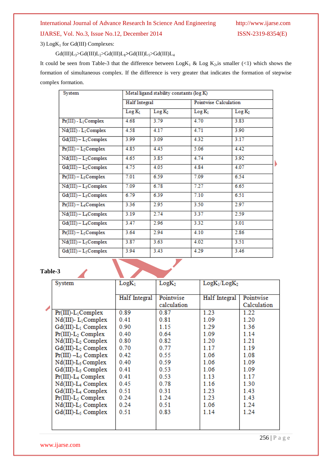# International Journal of Advance Research In Science And Engineering http://www.ijarse.com

3)  $Log K<sub>1</sub>$  for Gd(III) Complexes:

Gd(III)L3>Gd(III)L2>Gd(III)L**1>**Gd(III)L5>Gd(III)L<sup>4</sup>

It could be seen from Table-3 that the difference between  $Log K_1 \& Log K_2$ , is smaller (<1) which shows the formation of simultaneous complex. If the difference is very greater that indicates the formation of stepwise complex formation.

| System                           | Metal ligand stability constants (log K) |                    |                       |                    |  |
|----------------------------------|------------------------------------------|--------------------|-----------------------|--------------------|--|
|                                  | Half Integral                            |                    | Pointwise Calculation |                    |  |
|                                  | $Log K_1$                                | Log K <sub>2</sub> | $Log K_1$             | Log K <sub>2</sub> |  |
| $Pr(III) - L_1$ Complex          | 4.68                                     | 3.79               | 4.70                  | 3.83               |  |
| $Nd(III) - L1 Complex$           | 4.58                                     | 4.17               | 4.71                  | 3.90               |  |
| $Gd(III) - L_1Complex$           | 3.99                                     | 3.09               | 4.32                  | 3.17               |  |
| $Pr(III) - L_2$ Complex          | 4.85                                     | 4.45               | 5.06                  | 4.42               |  |
| $Nd(III) - L2Complex$            | 4.65                                     | 3.85               | 4.74                  | 3.92               |  |
| $Gd(III) - L2 Complex$           | 4.75                                     | 4.05               | 4.84                  | 4.07               |  |
| $Pr(III) - L_3$ Complex          | 7.01                                     | 6.59               | 7.09                  | 6.54               |  |
| $Nd(III) - L3 Complex$           | 7.09                                     | 6.78               | 7.27                  | 6.65               |  |
| $Gd(III) - L_3$ Complex          | 6.79                                     | 6.39               | 7.10                  | 6.51               |  |
| $Pr(III) - L_4$ Complex          | 3.36                                     | 2.95               | 3.50                  | 2.97               |  |
| $Nd(III) - L4 Complex$           | 3.19                                     | 2.74               | 3.37                  | 2.59               |  |
| Gd(III) - L <sub>4</sub> Complex | 3.47                                     | 2.96               | 3.32                  | 3.01               |  |
| $Pr(III) - L_5$ Complex          | 3.64                                     | 2.94               | 4.10                  | 2.86               |  |
| $Nd(III) - L5 Complex$           | 3.87                                     | 3.63               | 4.02                  | 3.51               |  |
| Gd(III) - L <sub>5</sub> Complex | 3.94                                     | 3.43               | 4.29                  | 3.46               |  |

#### **Table-3**

| ible-3                            |                   |                          |                                        |                          |  |  |
|-----------------------------------|-------------------|--------------------------|----------------------------------------|--------------------------|--|--|
| System                            | LogK <sub>1</sub> | LogK <sub>2</sub>        | Log K <sub>1</sub> /Log K <sub>2</sub> |                          |  |  |
|                                   | Half Integral     | Pointwise<br>calculation | Half Integral                          | Pointwise<br>Calculation |  |  |
| $Pr(III)-L_1Complex$              | 0.89              | 0.87                     | 1.23                                   | 1.22                     |  |  |
| $Nd(III)$ - $L_1$ Complex         | 0.41              | 0.81                     | 1.09                                   | 1.20                     |  |  |
| $Gd(III)-L_1$ Complex             | 0.90              | 1.15                     | 1.29                                   | 1.36                     |  |  |
| $Pr(III)-L_2$ Complex             | 0.40              | 0.64                     | 1.09                                   | 1.14                     |  |  |
| $Nd(III)-L2$ Complex              | 0.80              | 0.82                     | 1.20                                   | 1.21                     |  |  |
| $Gd(III)-L2$ Complex              | 0.70              | 0.77                     | 1.17                                   | 1.19                     |  |  |
| $Pr(III) - L_3$ Complex           | 0.42              | 0.55                     | 1.06                                   | 1.08                     |  |  |
| $Nd(III)-L_3$ Complex             | 0.40              | 0.59                     | 1.06                                   | 1.09                     |  |  |
| $Gd(III)-L_3$ Complex             | 0.41              | 0.53                     | 1.06                                   | 1.09                     |  |  |
| $Pr(III)$ -L <sub>4</sub> Complex | 0.41              | 0.53                     | 1.13                                   | 1.17                     |  |  |
| Nd(III)-L <sub>4</sub> Complex    | 0.45              | 0.78                     | 1.16                                   | 1.30                     |  |  |
| Gd(III)-L <sub>4</sub> Complex    | 0.51              | 0.31                     | 1.23                                   | 1.43                     |  |  |
| $Pr(III)-L_5$ Complex             | 0.24              | 1.24                     | 1.23                                   | 1.43                     |  |  |
| $Nd(III)-L_5$ Complex             | 0.24              | 0.51                     | 1.06                                   | 1.24                     |  |  |
| $Gd(III)-L_5$ Complex             | 0.51              | 0.83                     | 1.14                                   | 1.24                     |  |  |
|                                   |                   |                          |                                        |                          |  |  |